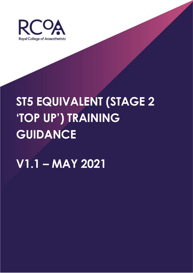

# **ST5 EQUIVALENT (STAGE 2 'TOP UP') TRAINING GUIDANCE**

## **V1.1 – MAY 2021**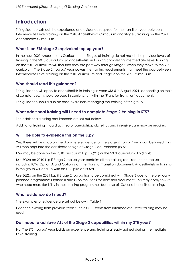## **Introduction**

This guidance sets out the experience and evidence required for the transition year between Intermediate Level training on the 2010 Anaesthetics Curriculum and Stage 3 training on the 2021 Anaesthetics Curriculum.

#### **What is an ST5 stage 2 equivalent top up year?**

In the new 2021 Anaesthetics Curriculum the Stages of training do not match the previous levels of training in the 2010 curriculum. So anaesthetists in training completing Intermediate Level training on the 2010 curriculum will find that they are part way through Stage 2 when they move to the 2021 curriculum. The Stage 2 'top up' year covers the training requirements that meet the gap between Intermediate Level training on the 2010 curriculum and Stage 2 on the 2021 curriculum.

#### **Who should read this guidance?**

This guidance will apply to anaesthetists in training in years ST3-5 in August 2021, depending on their circumstances. It should be used in conjunction with the 'Plans for Transition' document.

This guidance should also be read by trainers managing the training of this group.

#### **What additional training will I need to complete Stage 2 training in ST5?**

The additional training requirements are set out below.

Additional training in cardiac, neuro, paediatrics, obstetrics and intensive care may be required

#### **Will I be able to evidence this on the LLp?**

Yes, there will be a tab on the LLp where evidence for the Stage 2 'top up' year can be linked. This will then populate the certificate to sign off Stage 2 equivalence (EQ2).

EQ2 may be done on the 2010 curriculum LLp (EQ2a) or the 2021 curriculum LLp (EQ2b).

Use EQ2a on 2010 LLp if Stage 2 top up year contains all the training required for the top up including ICM: Option A and Option 2 on the Plans for Transition document. Anaesthetists in training in this group will end up with an ILTC plus an EQ2a.

Use EQ2b on the 2021 LLp if Stage 2 top up has to be combined with Stage 3 due to the previously planned programme: Options B and C on the Plans for Transition document. This may apply to ST5s who need more flexibility in their training programmes because of ICM or other units of training.

#### **What evidence do I need?**

The examples of evidence are set out below in Table 1.

Evidence existing from previous years such as CUT forms from Intermediate Level training may be used.

#### **Do I need to achieve ALL of the Stage 2 capabilities within my ST5 year?**

No. The ST5 'top up' year builds on experience and training already gained during Intermediate Level training.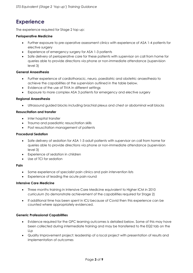## **Experience**

The experience required for Stage 2 top up:

#### **Perioperative Medicine**

- Further exposure to pre-operative assessment clinics with experience of ASA 1-4 patients for elective surgery
- Experience of emergency surgery for ASA 1-3 patients
- Safe delivery of perioperative care for these patients with supervisor on call from home for queries able to provide directions via phone or non-immediate attendance (supervision level 3)

#### **General Anaesthesia**

- Further experience of cardiothoracic, neuro, paediatric and obstetric anaesthesia to achieve the capabilities at the supervision outlined in the table below.
- Evidence of the use of TIVA in different settings
- Exposure to more complex ASA 3 patients for emergency and elective surgery

#### **Regional Anaesthesia**

• Ultrasound guided blocks including brachial plexus and chest or abdominal wall blocks

#### **Resuscitation and transfer**

- Inter hospital transfer
- Trauma and paediatric resuscitation skills
- Post resuscitation management of patients

#### **Procedural Sedation**

- Safe delivery of sedation for ASA 1-3 adult patients with supervisor on call from home for queries able to provide directions via phone or non-immediate attendance (supervision level 3)
- Experience of sedation in children
- Use of TCI for sedation

#### **Pain**

- Some experience of specialist pain clinics and pain intervention lists
- Experience of leading the acute pain round

#### **Intensive Care Medicine**

- Three months training in Intensive Care Medicine equivalent to Higher ICM in 2010 curriculum (to demonstrate achievement of the capabilities required for Stage 2)
- If additional time has been spent in ICU because of Covid then this experience can be counted where appropriately evidenced.

#### **Generic Professional Capabilities**

- Evidence required for the GPC learning outcomes is detailed below. Some of this may have been collected during intermediate training and may be transferred to the EQ2 tab on the LLp
- Quality Improvement project: leadership of a local project with presentation of results and implementation of outcomes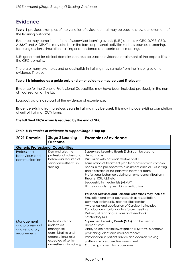## **Evidence**

**Table 1** provides examples of the varieties of evidence that may be used to show achievement of the learning outcomes.

Evidence may come in the form of supervised learning events (SLEs) such as A-CEX, DOPS, CBD, ALMAT and A-QIPAT. It may also be in the form of personal activities such as courses, eLearning, teaching sessions, simulation training or attendance at departmental meetings.

SLEs generated for clinical domains can also be used to evidence attainment of the capabilities in the GPC domains.

There are many examples and anaesthetists in training may sample from the lists or give other evidence if relevant.

#### **Table 1 is intended as a guide only and other evidence may be used if relevant.**

Evidence for the Generic Professional Capabilities may have been included previously in the nonclinical section of the LLp.

Logbook data is also part of the evidence of experience.

**Evidence existing from previous years in training may be used.** This may include existing completion of unit of training (CUT) forms.

#### **The full Final FRCA exam is required by the end of ST5.**

| 2021 Domain                                                      | <b>Stage 2 Learning</b><br>Outcome                                                                                                            | <b>Examples of evidence</b>                                                                                                                                                                                                                                                                                                                                                                                                                                                                                                                                                                                                                                                                                                                                                                   |
|------------------------------------------------------------------|-----------------------------------------------------------------------------------------------------------------------------------------------|-----------------------------------------------------------------------------------------------------------------------------------------------------------------------------------------------------------------------------------------------------------------------------------------------------------------------------------------------------------------------------------------------------------------------------------------------------------------------------------------------------------------------------------------------------------------------------------------------------------------------------------------------------------------------------------------------------------------------------------------------------------------------------------------------|
| <b>Generic Professional Capabilities</b>                         |                                                                                                                                               |                                                                                                                                                                                                                                                                                                                                                                                                                                                                                                                                                                                                                                                                                                                                                                                               |
| Professional<br>behaviours and<br>communication                  | Demonstrates the<br>professional values and<br>behaviours required of<br>senior anaesthetists in<br>training                                  | Supervised Learning Events (SLEs) can be used to<br>demonstrate:<br>Discussion with patients' relative on ICU<br>Formulation of treatment plan for a patient with complex<br>needs in the pre-operative assessment clinic or ICU setting<br>and discussion of this plan with the wider team<br>Professional behaviours during an emergency situation in<br>theatre, ICU, A&E etc<br>Leadership in theatre lists (ALMAT)<br>High standards in prescribing medication<br>Personal Activities and Personal Reflections may include:<br>Simulation and other courses such as resuscitation,<br>communication skills, inter-hospital transfer<br>Awareness and application of Caldicott principles<br>Participation in junior doctors forum meetings<br>Delivery of teaching sessions and feedback |
|                                                                  |                                                                                                                                               | Satisfactory MSF                                                                                                                                                                                                                                                                                                                                                                                                                                                                                                                                                                                                                                                                                                                                                                              |
| Management<br>and professional<br>and regulatory<br>requirements | Understands and<br>undertakes<br>managerial,<br>administrative and<br>organisational roles<br>expected of senior<br>anaesthetists in training | Supervised Learning Events (SLEs) can be used to<br>demonstrate:<br>Ability to use hospital investigation IT systems, electronic<br>prescribing, electronic medical records<br>Participation in patient advice and decision making<br>pathway in pre-operative assessment<br>Obtaining consent for procedures                                                                                                                                                                                                                                                                                                                                                                                                                                                                                 |

#### *Table 1: Examples of evidence to support Stage 2 'top up'*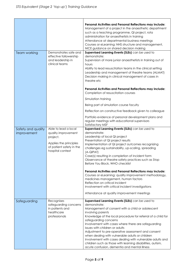|                                   |                                                                                                                                   | Personal Activities and Personal Reflections may include:<br>Management of a project in the anaesthetic department<br>such as a teaching programme, QI project, rota<br>administration for anaesthetists in training<br>Attendance at departmental business meetings<br>Courses or eLearning: NHS structure and management,<br>NICE guidance on shared decision making                                                                                                                                                                                                                                          |
|-----------------------------------|-----------------------------------------------------------------------------------------------------------------------------------|-----------------------------------------------------------------------------------------------------------------------------------------------------------------------------------------------------------------------------------------------------------------------------------------------------------------------------------------------------------------------------------------------------------------------------------------------------------------------------------------------------------------------------------------------------------------------------------------------------------------|
| Team working                      | Demonstrates safe and<br>effective followership<br>and leadership in<br>clinical teams                                            | Supervised Learning Events (SLEs) can be used to<br>demonstrate:<br>Supervision of more junior anaesthetists in training out of<br>hours<br>Ability to lead resuscitation teams in the clinical setting<br>Leadership and management of theatre teams (ALMAT)<br>Decision making in clinical management of cases in<br>theatre etc                                                                                                                                                                                                                                                                              |
|                                   |                                                                                                                                   | Personal Activities and Personal Reflections may include:<br>Completion of resuscitation courses                                                                                                                                                                                                                                                                                                                                                                                                                                                                                                                |
|                                   |                                                                                                                                   | Simulation training                                                                                                                                                                                                                                                                                                                                                                                                                                                                                                                                                                                             |
|                                   |                                                                                                                                   | Being part of simulation course faculty                                                                                                                                                                                                                                                                                                                                                                                                                                                                                                                                                                         |
|                                   |                                                                                                                                   | Reflection on constructive feedback given to colleague                                                                                                                                                                                                                                                                                                                                                                                                                                                                                                                                                          |
|                                   |                                                                                                                                   | Portfolio evidence of personal development plans and<br>regular meetings with educational supervisors<br>Satisfactory MSF                                                                                                                                                                                                                                                                                                                                                                                                                                                                                       |
| Safety and quality<br>improvement | Able to lead a local<br>quality improvement<br>project.<br>Applies the principles<br>of patient safety in the<br>hospital context | Supervised Learning Events (SLEs) can be used to<br>demonstrate:<br>Leadership of local QI project<br>Presentation of QI project results<br>Implementation of QI project outcomes recognizing<br>challenges eg sustainability, up-scaling, spreading<br>(A-QIPAT)<br>Case(s) resulting in completion of incident form<br>Observance of theatre safety practices such as Stop<br>Before You Block, WHO checklist                                                                                                                                                                                                 |
|                                   |                                                                                                                                   | Personal Activities and Personal Reflections may include:<br>Courses or eLearning: quality improvement methodology,<br>medicines management, human factors<br>Reflection on critical incident<br>Involvement with critical incident investigations<br>Attendance at quality improvement meetings                                                                                                                                                                                                                                                                                                                |
| Safeguarding                      | Recognises<br>safeguarding concerns<br>in patients and<br>healthcare<br>professionals                                             | Supervised Learning Events (SLEs) can be used to<br>demonstrate:<br>Management of consent with a child or adolescent<br>involving parents<br>Knowledge of the local procedure for referral of a child for<br>safeguarding concerns<br>Involvement with cases where there are safeguarding<br>issues with children or adults<br>Adjustment to pre-operative assessment and consent<br>when dealing with vulnerable adults or children<br>Involvement with cases dealing with vulnerable adults and<br>children such as those with learning disabilities, autism,<br>acute confusion, dementia and mental illness |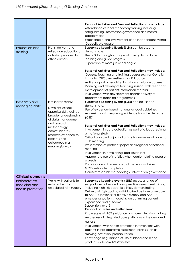| <b>Education and</b><br>training                  | Plans, delivers and<br>reflects on educational<br>activities provided to<br>other learners                                          | Personal Activities and Personal Reflections may include:<br>Attendance at local mandatory training including<br>safeguarding, information governance and mental<br>capacity act<br>Experience of the involvement of an Independent Mental<br>Capacity Advocate<br>Supervised Learning Events (SLEs) can be used to<br>demonstrate:<br>Use of SLEs throughout stage of training to facilitate<br>learning and guide progress<br>Supervision of more junior colleague                                                                                                                                                                                                                                                                                                                                                            |
|---------------------------------------------------|-------------------------------------------------------------------------------------------------------------------------------------|---------------------------------------------------------------------------------------------------------------------------------------------------------------------------------------------------------------------------------------------------------------------------------------------------------------------------------------------------------------------------------------------------------------------------------------------------------------------------------------------------------------------------------------------------------------------------------------------------------------------------------------------------------------------------------------------------------------------------------------------------------------------------------------------------------------------------------|
|                                                   |                                                                                                                                     | Personal Activities and Personal Reflections may include:<br>Courses: Teaching and training courses such as Generic<br>Instructor (GIC), Anaesthetists as Educators<br>Acting as part of teaching faculty in simulation courses<br>Planning and delivery of teaching sessions with feedback<br>Development of patient information material<br>Involvement with development and/or delivery of<br>department teaching programmes                                                                                                                                                                                                                                                                                                                                                                                                 |
| Research and<br>managing data                     | Is research ready:<br>Develops critical<br>appraisal skills; gains a<br>broader understanding<br>of data management<br>and research | Supervised Learning Events (SLEs) can be used to<br>demonstrate:<br>Use of evidence-based national or local guidelines<br>Accessing and interpreting evidence from the literature<br>(CBD)                                                                                                                                                                                                                                                                                                                                                                                                                                                                                                                                                                                                                                      |
|                                                   | methodology;<br>communicates<br>research evidence to<br>patients and<br>colleagues in a<br>meaningful way                           | Personal Activities and Personal Reflections may include:<br>Involvement in data collection as part of a local, regional<br>or national study<br>Critical appraisal of journal article for example at a journal<br>club meeting<br>Presentation of poster or paper at a regional or national<br>meeting<br>Involvement in developing local guidelines<br>Appropriate use of statistics when contemplating research<br>projects<br>Participation in trainee research network activities<br>GCP certificate completion<br>Courses: research methodology, information governance                                                                                                                                                                                                                                                   |
| <b>Clinical domains</b>                           |                                                                                                                                     |                                                                                                                                                                                                                                                                                                                                                                                                                                                                                                                                                                                                                                                                                                                                                                                                                                 |
| Perioperative<br>medicine and<br>health promotion | Works with patients to<br>reduce the risks<br>associated with surgery                                                               | Supervised Learning events (SLEs) across a range of<br>surgical specialties and pre-operative assessment clinics,<br>including high risk obstetric clinics, demonstrating:<br>Delivery of high quality, individualised perioperative care<br>to ASA 1-4 patients for elective surgery and ASA 1-3<br>emergency patients, focusing on optimising patient<br>experience and outcome<br>Supervision level 3<br><b>Personal activities and reflections:</b><br>Knowledge of NICE guidance on shared decision making<br>Awareness of integrated care pathways in the devolved<br>nations<br>Involvement with health promotion interventions with<br>patients in pre-operative assessment clinics such as<br>smoking cessation, prehabilitation<br>Knowledge of guidance of use of blood and blood<br>products in Jehovah's Witnesses |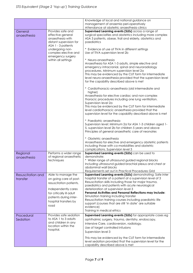|                                                                                                       |                                                   | Knowledge of local and national guidance on<br>management of anaemia peri-operatively<br>Attendance at obstetric anaesthesia clinics                                                                                                                                                                                                              |
|-------------------------------------------------------------------------------------------------------|---------------------------------------------------|---------------------------------------------------------------------------------------------------------------------------------------------------------------------------------------------------------------------------------------------------------------------------------------------------------------------------------------------------|
| General                                                                                               | Provides safe and                                 | Supervised Learning events (SLEs) across a range of                                                                                                                                                                                                                                                                                               |
| effective general<br>anaesthesia<br>anaesthesia with<br>distant supervision for<br>ASA 1 - 3 patients |                                                   | surgical specialties and obstetrics including more complex<br>ASA 3 patients, obese, frail and elderly, obstetrics and<br>paediatrics                                                                                                                                                                                                             |
|                                                                                                       | undergoing non-<br>complex elective and           | * Evidence of use of TIVA in different settings<br>Use of TIVA supervision level 2b                                                                                                                                                                                                                                                               |
|                                                                                                       | emergency surgery<br>within all settings          | * Neuro-anaesthesia<br>Anaesthesia for ASA 1-3 adults, simple elective and<br>emergency intracranial, spinal and neuroradiology<br>procedures. Minimum supervision level 2a<br>This may be evidenced by the CUT form for intermediate<br>level neuro-anaesthesia provided that the supervision level<br>for the capability described above is met |
|                                                                                                       |                                                   | * Cardiothoracic-anaesthesia (old intermediate and<br>higher)                                                                                                                                                                                                                                                                                     |
|                                                                                                       |                                                   | Anaesthesia for elective cardiac and non-complex<br>thoracic procedures including one lung ventilation.<br>Supervision level 2a                                                                                                                                                                                                                   |
|                                                                                                       |                                                   | This may be evidenced by the CUT form for intermediate<br>level cardiothoracic anaesthesia provided that the<br>supervision level for the capability described above is met                                                                                                                                                                       |
|                                                                                                       |                                                   | * Paediatric anaesthesia<br>Supervision level: Minimum 2a for ASA 1-3 children aged 1-<br>5, supervision level 2b for children 5 years and above<br>Principles of general anaesthetic care of neonates                                                                                                                                            |
|                                                                                                       |                                                   | * Obstetric anaesthesia<br>Anaesthesia for elective and emergency obstetric patients<br>including those with co-morbidities and obstetric<br>complications. Supervision level 3                                                                                                                                                                   |
| Regional<br>anaesthesia                                                                               | Performs a wider range<br>of regional anaesthetic | Supervised Learning events (SLEs) can be used to<br>demonstrate:                                                                                                                                                                                                                                                                                  |
|                                                                                                       | techniques                                        | * Wider range of ultrasound guided regional blocks<br>Including ultrasound guided brachial plexus and chest or<br>abdominal wall blocks                                                                                                                                                                                                           |
|                                                                                                       |                                                   | Requirements set out in Practical Procedures Grid                                                                                                                                                                                                                                                                                                 |
| Resuscitation and<br>transfer                                                                         | Able to manage the<br>on going care of post-      | Supervised Learning events (SLEs) demonstrating: Safe inter<br>hospital transfer of a patient at a supervision level of 3                                                                                                                                                                                                                         |
|                                                                                                       | resuscitation patients.                           | Resuscitation skills including those for major trauma,<br>paediatrics and patients with acute neurological                                                                                                                                                                                                                                        |
|                                                                                                       | Independently cares                               | deterioration at supervision level 3                                                                                                                                                                                                                                                                                                              |
|                                                                                                       | for critically ill adult                          | Personal Activities and Personal Reflections may include:                                                                                                                                                                                                                                                                                         |
|                                                                                                       | patients during inter-                            | Simulation training including transfer                                                                                                                                                                                                                                                                                                            |
|                                                                                                       | hospital transfers by                             | Resuscitation training courses including paediatric life                                                                                                                                                                                                                                                                                          |
|                                                                                                       | road                                              | support (courses that are still 'in date' are suitable                                                                                                                                                                                                                                                                                            |
|                                                                                                       |                                                   | evidence)<br>Training in medical ethics                                                                                                                                                                                                                                                                                                           |
| Procedural                                                                                            | Provides safe sedation                            | Supervised Learning events (SLEs) for appropriate cases eg                                                                                                                                                                                                                                                                                        |
| Sedation                                                                                              | to ASA 1 to 3 adults                              | ophthalmic surgery, trauma, dentistry, endoscopy,                                                                                                                                                                                                                                                                                                 |
|                                                                                                       | and children in any                               | Intensive Care, cardioversion, radiology.                                                                                                                                                                                                                                                                                                         |
|                                                                                                       | location within the                               | Use of target controlled infusions                                                                                                                                                                                                                                                                                                                |
|                                                                                                       | hospital.                                         | Supervision level 3                                                                                                                                                                                                                                                                                                                               |
|                                                                                                       |                                                   |                                                                                                                                                                                                                                                                                                                                                   |
|                                                                                                       |                                                   | This may be evidenced by the CUT form for intermediate                                                                                                                                                                                                                                                                                            |
|                                                                                                       |                                                   | level sedation provided that the supervision level for the                                                                                                                                                                                                                                                                                        |
|                                                                                                       |                                                   | capability described above is met                                                                                                                                                                                                                                                                                                                 |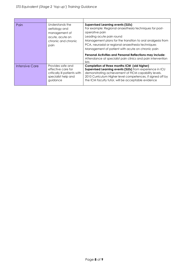| Pain           | Understands the<br>aetiology and<br>management of<br>acute, acute on<br>chronic and chronic<br>pain        | <b>Supervised Learning events (SLEs)</b><br>For example: Regional anaesthesia techniques for post-<br>operative pain<br>Leading acute pain round<br>Management plans for the transition to oral analgesia from<br>PCA, neuraxial or regional anaesthesia techniques<br>Management of patient with acute on chronic pain<br>Personal Activities and Personal Reflections may include:<br>Attendance at specialist pain clinics and pain intervention<br>lists |
|----------------|------------------------------------------------------------------------------------------------------------|--------------------------------------------------------------------------------------------------------------------------------------------------------------------------------------------------------------------------------------------------------------------------------------------------------------------------------------------------------------------------------------------------------------------------------------------------------------|
| Intensive Care | Provides safe and<br>effective care for<br>critically ill patients with<br>specialist help and<br>guidance | Completion of three months ICM (old higher)<br>Supervised Learning events (SLEs) from experience in ICU<br>demonstrating achievement of FICM capability levels.<br>2010 Curriculum Higher level competences, if signed off by<br>the ICM faculty tutor, will be acceptable evidence                                                                                                                                                                          |